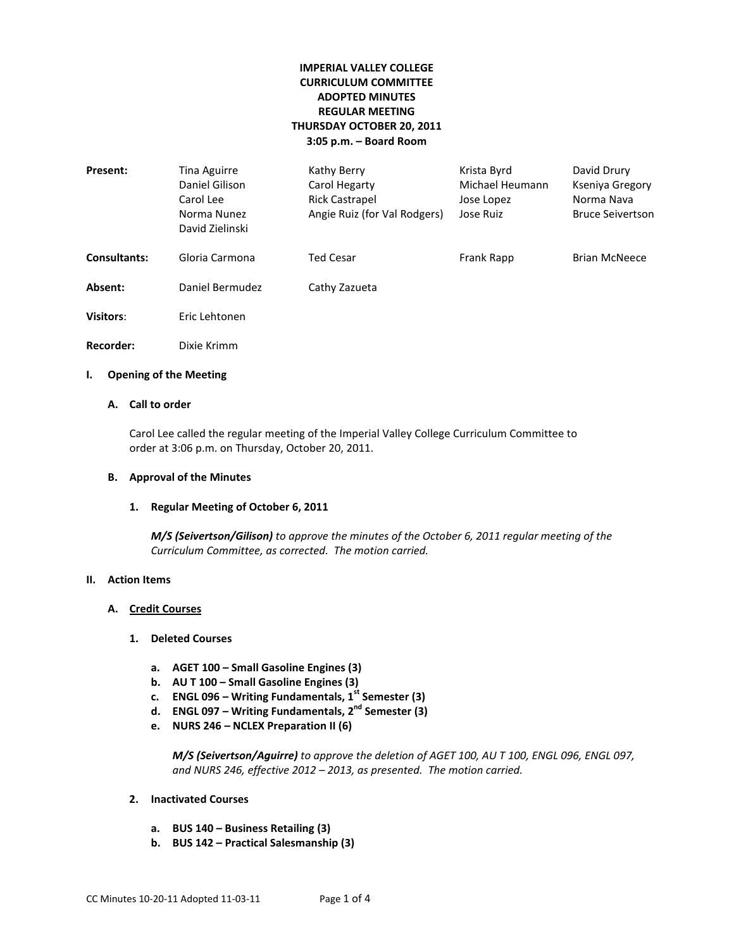# **IMPERIAL VALLEY COLLEGE CURRICULUM COMMITTEE ADOPTED MINUTES REGULAR MEETING THURSDAY OCTOBER 20, 2011 3:05 p.m. – Board Room**

| Present:            | Tina Aguirre<br>Daniel Gilison<br>Carol Lee<br>Norma Nunez<br>David Zielinski | Kathy Berry<br>Carol Hegarty<br><b>Rick Castrapel</b><br>Angie Ruiz (for Val Rodgers) | Krista Byrd<br>Michael Heumann<br>Jose Lopez<br>Jose Ruiz | David Drury<br>Kseniya Gregory<br>Norma Nava<br><b>Bruce Seivertson</b> |
|---------------------|-------------------------------------------------------------------------------|---------------------------------------------------------------------------------------|-----------------------------------------------------------|-------------------------------------------------------------------------|
| <b>Consultants:</b> | Gloria Carmona                                                                | <b>Ted Cesar</b>                                                                      | <b>Frank Rapp</b>                                         | <b>Brian McNeece</b>                                                    |
| Absent:             | Daniel Bermudez                                                               | Cathy Zazueta                                                                         |                                                           |                                                                         |
| <b>Visitors:</b>    | Eric Lehtonen                                                                 |                                                                                       |                                                           |                                                                         |
| Recorder:           | Dixie Krimm                                                                   |                                                                                       |                                                           |                                                                         |

### **I. Opening of the Meeting**

## **A. Call to order**

Carol Lee called the regular meeting of the Imperial Valley College Curriculum Committee to order at 3:06 p.m. on Thursday, October 20, 2011.

## **B. Approval of the Minutes**

## **1. Regular Meeting of October 6, 2011**

*M/S (Seivertson/Gilison) to approve the minutes of the October 6, 2011 regular meeting of the Curriculum Committee, as corrected. The motion carried.*

## **II. Action Items**

## **A. Credit Courses**

## **1. Deleted Courses**

- **a. AGET 100 – Small Gasoline Engines (3)**
- **b. AU T 100 – Small Gasoline Engines (3)**
- **c. ENGL 096 – Writing Fundamentals, 1st Semester (3)**
- **d. ENGL 097 – Writing Fundamentals, 2nd Semester (3)**
- **e. NURS 246 – NCLEX Preparation II (6)**

*M/S (Seivertson/Aguirre) to approve the deletion of AGET 100, AU T 100, ENGL 096, ENGL 097, and NURS 246, effective 2012 – 2013, as presented. The motion carried.*

### **2. Inactivated Courses**

- **a. BUS 140 – Business Retailing (3)**
- **b. BUS 142 – Practical Salesmanship (3)**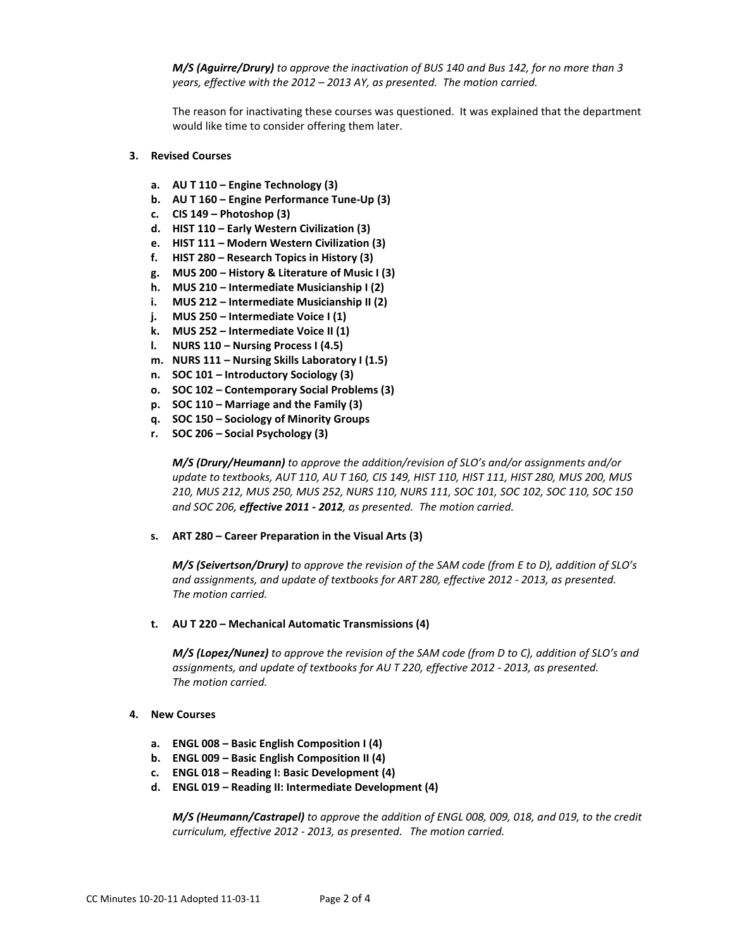*M/S (Aguirre/Drury) to approve the inactivation of BUS 140 and Bus 142, for no more than 3 years, effective with the 2012 – 2013 AY, as presented. The motion carried.*

The reason for inactivating these courses was questioned. It was explained that the department would like time to consider offering them later.

### **3. Revised Courses**

- **a. AU T 110 – Engine Technology (3)**
- **b. AU T 160 – Engine Performance Tune-Up (3)**
- **c. CIS 149 – Photoshop (3)**
- **d. HIST 110 – Early Western Civilization (3)**
- **e. HIST 111 – Modern Western Civilization (3)**
- **f. HIST 280 – Research Topics in History (3)**
- **g. MUS 200 – History & Literature of Music I (3)**
- **h. MUS 210 – Intermediate Musicianship I (2)**
- **i. MUS 212 – Intermediate Musicianship II (2)**
- **j. MUS 250 – Intermediate Voice I (1)**
- **k. MUS 252 – Intermediate Voice II (1)**
- **l. NURS 110 – Nursing Process I (4.5)**
- **m. NURS 111 – Nursing Skills Laboratory I (1.5)**
- **n. SOC 101 – Introductory Sociology (3)**
- **o. SOC 102 – Contemporary Social Problems (3)**
- **p. SOC 110 – Marriage and the Family (3)**
- **q. SOC 150 – Sociology of Minority Groups**
- **r. SOC 206 – Social Psychology (3)**

*M/S (Drury/Heumann) to approve the addition/revision of SLO's and/or assignments and/or update to textbooks, AUT 110, AU T 160, CIS 149, HIST 110, HIST 111, HIST 280, MUS 200, MUS 210, MUS 212, MUS 250, MUS 252, NURS 110, NURS 111, SOC 101, SOC 102, SOC 110, SOC 150 and SOC 206, effective 2011 - 2012, as presented. The motion carried.*

#### **s. ART 280 – Career Preparation in the Visual Arts (3)**

*M/S (Seivertson/Drury) to approve the revision of the SAM code (from E to D), addition of SLO's and assignments, and update of textbooks for ART 280, effective 2012 - 2013, as presented. The motion carried.*

### **t. AU T 220 – Mechanical Automatic Transmissions (4)**

*M/S (Lopez/Nunez) to approve the revision of the SAM code (from D to C), addition of SLO's and assignments, and update of textbooks for AU T 220, effective 2012 - 2013, as presented. The motion carried.*

#### **4. New Courses**

- **a. ENGL 008 – Basic English Composition I (4)**
- **b. ENGL 009 – Basic English Composition II (4)**
- **c. ENGL 018 – Reading I: Basic Development (4)**
- **d. ENGL 019 – Reading II: Intermediate Development (4)**

*M/S (Heumann/Castrapel) to approve the addition of ENGL 008, 009, 018, and 019, to the credit curriculum, effective 2012 - 2013, as presented. The motion carried.*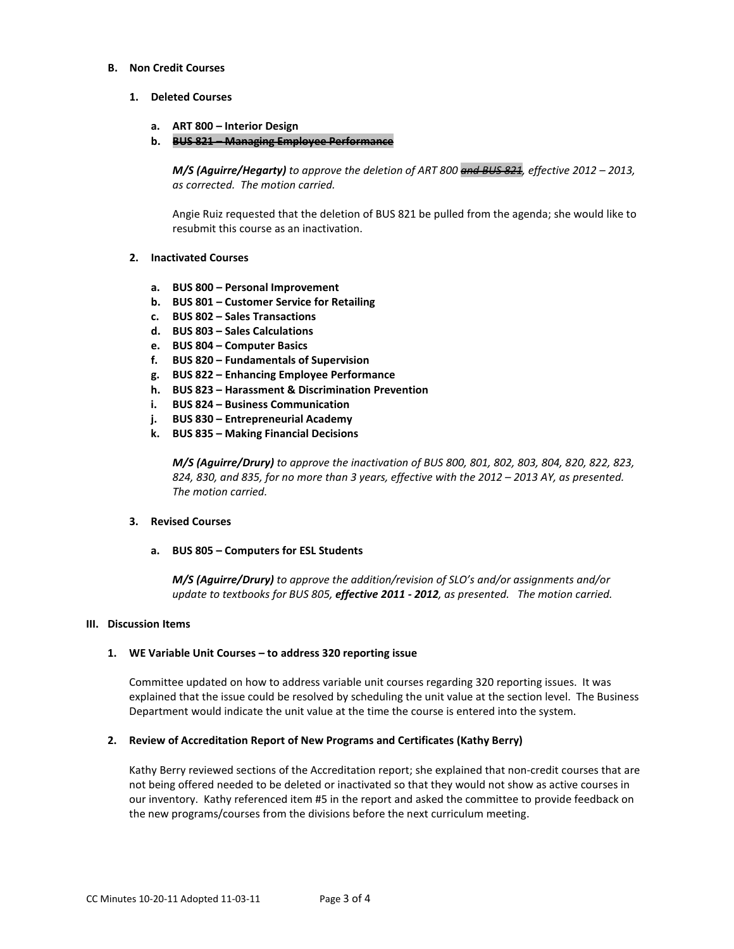### **B. Non Credit Courses**

### **1. Deleted Courses**

- **a. ART 800 – Interior Design**
- **b. BUS 821 – Managing Employee Performance**

*M/S (Aguirre/Hegarty) to approve the deletion of ART 800 and BUS 821, effective 2012 – 2013, as corrected. The motion carried.*

Angie Ruiz requested that the deletion of BUS 821 be pulled from the agenda; she would like to resubmit this course as an inactivation.

## **2. Inactivated Courses**

- **a. BUS 800 – Personal Improvement**
- **b. BUS 801 – Customer Service for Retailing**
- **c. BUS 802 – Sales Transactions**
- **d. BUS 803 – Sales Calculations**
- **e. BUS 804 – Computer Basics**
- **f. BUS 820 – Fundamentals of Supervision**
- **g. BUS 822 – Enhancing Employee Performance**
- **h. BUS 823 – Harassment & Discrimination Prevention**
- **i. BUS 824 – Business Communication**
- **j. BUS 830 – Entrepreneurial Academy**
- **k. BUS 835 – Making Financial Decisions**

*M/S (Aguirre/Drury) to approve the inactivation of BUS 800, 801, 802, 803, 804, 820, 822, 823, 824, 830, and 835, for no more than 3 years, effective with the 2012 – 2013 AY, as presented. The motion carried.*

#### **3. Revised Courses**

**a. BUS 805 – Computers for ESL Students**

*M/S (Aguirre/Drury) to approve the addition/revision of SLO's and/or assignments and/or update to textbooks for BUS 805, effective 2011 - 2012, as presented. The motion carried.*

#### **III. Discussion Items**

#### **1. WE Variable Unit Courses – to address 320 reporting issue**

Committee updated on how to address variable unit courses regarding 320 reporting issues. It was explained that the issue could be resolved by scheduling the unit value at the section level. The Business Department would indicate the unit value at the time the course is entered into the system.

### **2. Review of Accreditation Report of New Programs and Certificates (Kathy Berry)**

Kathy Berry reviewed sections of the Accreditation report; she explained that non-credit courses that are not being offered needed to be deleted or inactivated so that they would not show as active courses in our inventory. Kathy referenced item #5 in the report and asked the committee to provide feedback on the new programs/courses from the divisions before the next curriculum meeting.